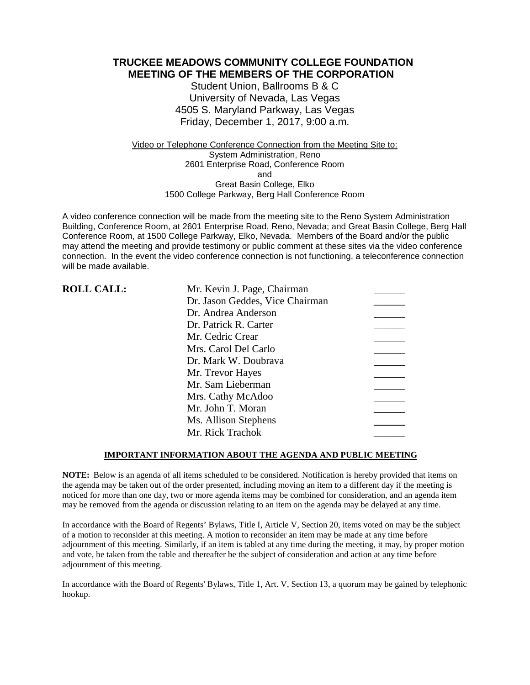**TRUCKEE MEADOWS COMMUNITY COLLEGE FOUNDATION MEETING OF THE MEMBERS OF THE CORPORATION**

> Student Union, Ballrooms B & C University of Nevada, Las Vegas 4505 S. Maryland Parkway, Las Vegas Friday, December 1, 2017, 9:00 a.m.

Video or Telephone Conference Connection from the Meeting Site to: System Administration, Reno 2601 Enterprise Road, Conference Room and Great Basin College, Elko 1500 College Parkway, Berg Hall Conference Room

A video conference connection will be made from the meeting site to the Reno System Administration Building, Conference Room, at 2601 Enterprise Road, Reno, Nevada; and Great Basin College, Berg Hall Conference Room, at 1500 College Parkway, Elko, Nevada. Members of the Board and/or the public may attend the meeting and provide testimony or public comment at these sites via the video conference connection. In the event the video conference connection is not functioning, a teleconference connection will be made available.

| <b>ROLL CALL:</b> | Mr. Kevin J. Page, Chairman     |  |
|-------------------|---------------------------------|--|
|                   | Dr. Jason Geddes, Vice Chairman |  |
|                   | Dr. Andrea Anderson             |  |
|                   | Dr. Patrick R. Carter           |  |
|                   | Mr. Cedric Crear                |  |
|                   | Mrs. Carol Del Carlo            |  |
|                   | Dr. Mark W. Doubrava            |  |
|                   | Mr. Trevor Hayes                |  |
|                   | Mr. Sam Lieberman               |  |
|                   | Mrs. Cathy McAdoo               |  |
|                   | Mr. John T. Moran               |  |
|                   | Ms. Allison Stephens            |  |
|                   | Mr. Rick Trachok                |  |

### **IMPORTANT INFORMATION ABOUT THE AGENDA AND PUBLIC MEETING**

**NOTE:** Below is an agenda of all items scheduled to be considered. Notification is hereby provided that items on the agenda may be taken out of the order presented, including moving an item to a different day if the meeting is noticed for more than one day, two or more agenda items may be combined for consideration, and an agenda item may be removed from the agenda or discussion relating to an item on the agenda may be delayed at any time.

In accordance with the Board of Regents' Bylaws, Title I, Article V, Section 20, items voted on may be the subject of a motion to reconsider at this meeting. A motion to reconsider an item may be made at any time before adjournment of this meeting. Similarly, if an item is tabled at any time during the meeting, it may, by proper motion and vote, be taken from the table and thereafter be the subject of consideration and action at any time before adjournment of this meeting.

In accordance with the Board of Regents' Bylaws, Title 1, Art. V, Section 13, a quorum may be gained by telephonic hookup.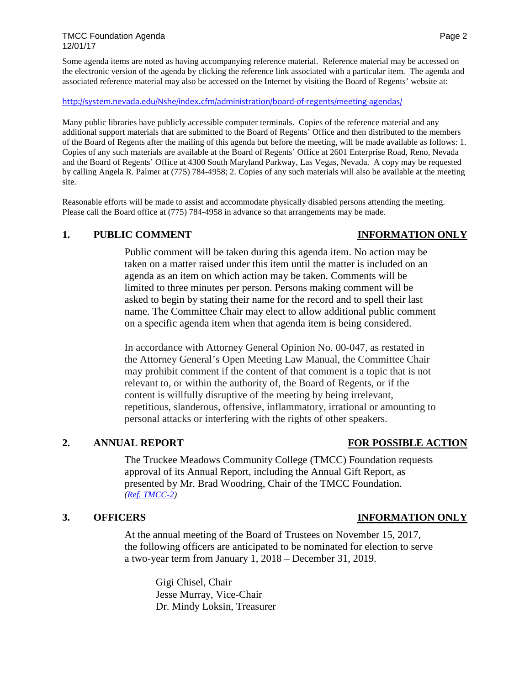TMCC Foundation Agenda Page 2 12/01/17

Some agenda items are noted as having accompanying reference material. Reference material may be accessed on the electronic version of the agenda by clicking the reference link associated with a particular item. The agenda and associated reference material may also be accessed on the Internet by visiting the Board of Regents' website at:

### <http://system.nevada.edu/Nshe/index.cfm/administration/board-of-regents/meeting-agendas/>

Many public libraries have publicly accessible computer terminals. Copies of the reference material and any additional support materials that are submitted to the Board of Regents' Office and then distributed to the members of the Board of Regents after the mailing of this agenda but before the meeting, will be made available as follows: 1. Copies of any such materials are available at the Board of Regents' Office at 2601 Enterprise Road, Reno, Nevada and the Board of Regents' Office at 4300 South Maryland Parkway, Las Vegas, Nevada. A copy may be requested by calling Angela R. Palmer at (775) 784-4958; 2. Copies of any such materials will also be available at the meeting site.

Reasonable efforts will be made to assist and accommodate physically disabled persons attending the meeting. Please call the Board office at (775) 784-4958 in advance so that arrangements may be made.

### **1. PUBLIC COMMENT INFORMATION ONLY**

Public comment will be taken during this agenda item. No action may be taken on a matter raised under this item until the matter is included on an agenda as an item on which action may be taken. Comments will be limited to three minutes per person. Persons making comment will be asked to begin by stating their name for the record and to spell their last name. The Committee Chair may elect to allow additional public comment on a specific agenda item when that agenda item is being considered.

In accordance with Attorney General Opinion No. 00-047, as restated in the Attorney General's Open Meeting Law Manual, the Committee Chair may prohibit comment if the content of that comment is a topic that is not relevant to, or within the authority of, the Board of Regents, or if the content is willfully disruptive of the meeting by being irrelevant, repetitious, slanderous, offensive, inflammatory, irrational or amounting to personal attacks or interfering with the rights of other speakers.

The Truckee Meadows Community College (TMCC) Foundation requests approval of its Annual Report, including the Annual Gift Report, as presented by Mr. Brad Woodring, Chair of the TMCC Foundation. *[\(Ref. TMCC-2\)](https://nshe.nevada.edu/wp-content/uploads/file/BoardOfRegents/Agendas/2017/nov-mtgs/foundation-refs/tmcc/TMCC-2.pdf)*

### **3. OFFICERS INFORMATION ONLY**

At the annual meeting of the Board of Trustees on November 15, 2017, the following officers are anticipated to be nominated for election to serve a two-year term from January 1, 2018 – December 31, 2019.

> Gigi Chisel, Chair Jesse Murray, Vice-Chair Dr. Mindy Loksin, Treasurer

**2. ANNUAL REPORT FOR POSSIBLE ACTION**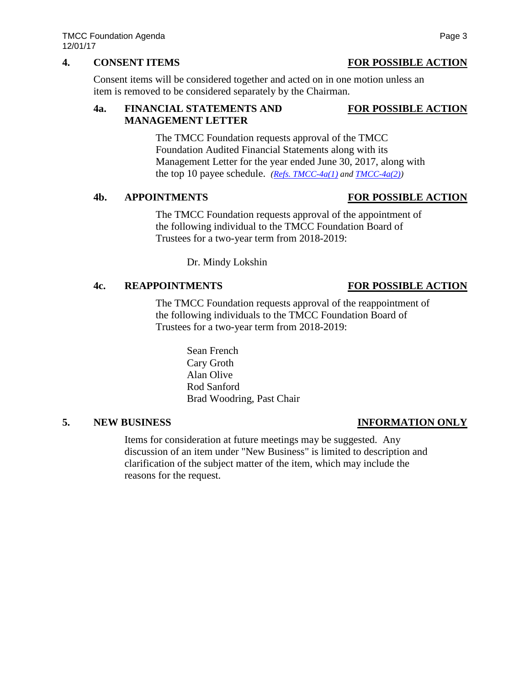## **4. CONSENT ITEMS FOR POSSIBLE ACTION**

Consent items will be considered together and acted on in one motion unless an item is removed to be considered separately by the Chairman.

## **4a. FINANCIAL STATEMENTS AND FOR POSSIBLE ACTION MANAGEMENT LETTER**

The TMCC Foundation requests approval of the TMCC Foundation Audited Financial Statements along with its Management Letter for the year ended June 30, 2017, along with the top 10 payee schedule. *[\(Refs. TMCC-4a\(1\)](https://nshe.nevada.edu/wp-content/uploads/file/BoardOfRegents/Agendas/2017/nov-mtgs/foundation-refs/tmcc/TMCC-4a(1).pdf) an[d TMCC-4a\(2\)\)](https://nshe.nevada.edu/wp-content/uploads/file/BoardOfRegents/Agendas/2017/nov-mtgs/foundation-refs/tmcc/TMCC-4a(2).pdf)*

# **4b. APPOINTMENTS FOR POSSIBLE ACTION**

The TMCC Foundation requests approval of the appointment of the following individual to the TMCC Foundation Board of Trustees for a two-year term from 2018-2019:

Dr. Mindy Lokshin

# **4c. REAPPOINTMENTS FOR POSSIBLE ACTION**

The TMCC Foundation requests approval of the reappointment of the following individuals to the TMCC Foundation Board of Trustees for a two-year term from 2018-2019:

> Sean French Cary Groth Alan Olive Rod Sanford Brad Woodring, Past Chair

## **5. NEW BUSINESS INFORMATION ONLY**

Items for consideration at future meetings may be suggested. Any discussion of an item under "New Business" is limited to description and clarification of the subject matter of the item, which may include the reasons for the request.